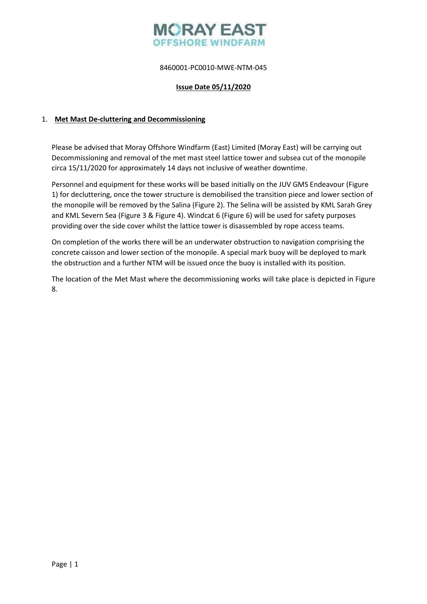

#### **Issue Date 05/11/2020**

#### 1. **Met Mast De-cluttering and Decommissioning**

Please be advised that Moray Offshore Windfarm (East) Limited (Moray East) will be carrying out Decommissioning and removal of the met mast steel lattice tower and subsea cut of the monopile circa 15/11/2020 for approximately 14 days not inclusive of weather downtime.

Personnel and equipment for these works will be based initially on the JUV GMS Endeavour (Figure 1) for decluttering, once the tower structure is demobilised the transition piece and lower section of the monopile will be removed by the Salina (Figure 2). The Selina will be assisted by KML Sarah Grey and KML Severn Sea (Figure 3 & Figure 4). Windcat 6 (Figure 6) will be used for safety purposes providing over the side cover whilst the lattice tower is disassembled by rope access teams.

On completion of the works there will be an underwater obstruction to navigation comprising the concrete caisson and lower section of the monopile. A special mark buoy will be deployed to mark the obstruction and a further NTM will be issued once the buoy is installed with its position.

The location of the Met Mast where the decommissioning works will take place is depicted in Figure 8.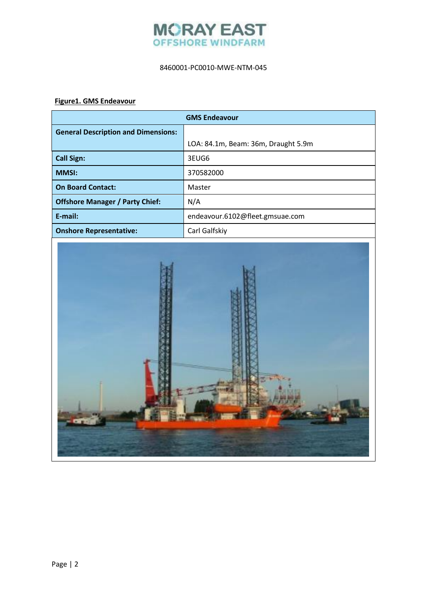

#### **Figure1. GMS Endeavour**

| <b>GMS Endeavour</b>                       |                                     |  |
|--------------------------------------------|-------------------------------------|--|
| <b>General Description and Dimensions:</b> |                                     |  |
|                                            | LOA: 84.1m, Beam: 36m, Draught 5.9m |  |
| <b>Call Sign:</b>                          | 3EUG6                               |  |
| <b>MMSI:</b>                               | 370582000                           |  |
| <b>On Board Contact:</b>                   | Master                              |  |
| <b>Offshore Manager / Party Chief:</b>     | N/A                                 |  |
| E-mail:                                    | endeavour.6102@fleet.gmsuae.com     |  |
| <b>Onshore Representative:</b>             | Carl Galfskiy                       |  |
|                                            |                                     |  |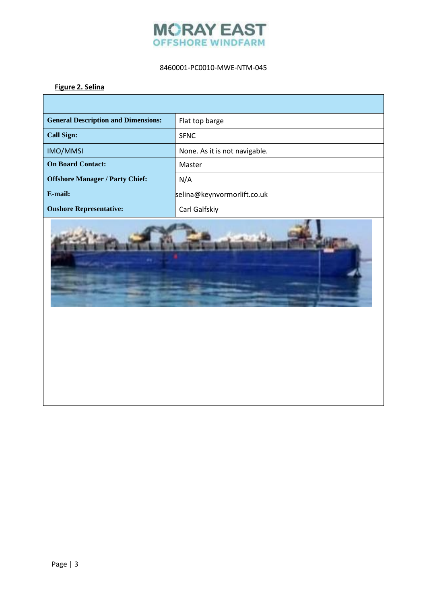

٦

# **Figure 2. Selina**

Г

| <b>General Description and Dimensions:</b> | Flat top barge                |
|--------------------------------------------|-------------------------------|
| <b>Call Sign:</b>                          | <b>SFNC</b>                   |
| <b>IMO/MMSI</b>                            | None. As it is not navigable. |
| <b>On Board Contact:</b>                   | Master                        |
| <b>Offshore Manager / Party Chief:</b>     | N/A                           |
| E-mail:                                    | selina@keynvormorlift.co.uk   |
| <b>Onshore Representative:</b>             | Carl Galfskiy                 |

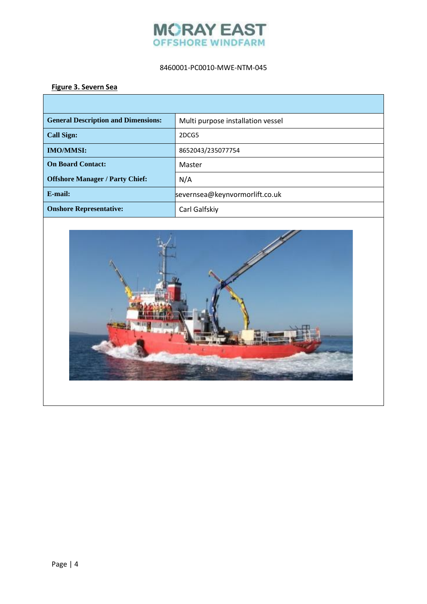

# **Figure 3. Severn Sea**

| <b>General Description and Dimensions:</b> | Multi purpose installation vessel |  |
|--------------------------------------------|-----------------------------------|--|
| <b>Call Sign:</b>                          | 2DCG5                             |  |
| <b>IMO/MMSI:</b>                           | 8652043/235077754                 |  |
| <b>On Board Contact:</b>                   | Master                            |  |
| <b>Offshore Manager / Party Chief:</b>     | N/A                               |  |
| E-mail:                                    | severnsea@keynvormorlift.co.uk    |  |
| <b>Onshore Representative:</b>             | Carl Galfskiy                     |  |

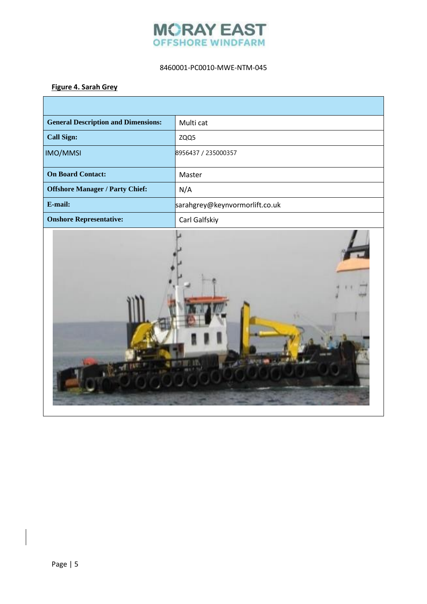

ī

#### **Figure 4. Sarah Grey**

| <b>General Description and Dimensions:</b> | Multi cat                      |
|--------------------------------------------|--------------------------------|
| <b>Call Sign:</b>                          | ZQQ5                           |
| <b>IMO/MMSI</b>                            | 8956437 / 235000357            |
| <b>On Board Contact:</b>                   | Master                         |
| <b>Offshore Manager / Party Chief:</b>     | N/A                            |
| E-mail:                                    | sarahgrey@keynvormorlift.co.uk |
| <b>Onshore Representative:</b>             | Carl Galfskiy                  |

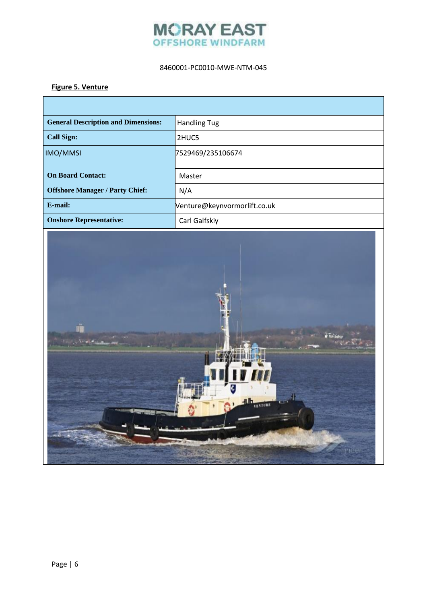

#### **Figure 5. Venture**

| <b>General Description and Dimensions:</b> | <b>Handling Tug</b>          |
|--------------------------------------------|------------------------------|
| <b>Call Sign:</b>                          | 2HUC5                        |
| <b>IMO/MMSI</b>                            | 7529469/235106674            |
|                                            |                              |
| <b>On Board Contact:</b>                   | Master                       |
| <b>Offshore Manager / Party Chief:</b>     | N/A                          |
| E-mail:                                    | Venture@keynvormorlift.co.uk |
| <b>Onshore Representative:</b>             | Carl Galfskiy                |

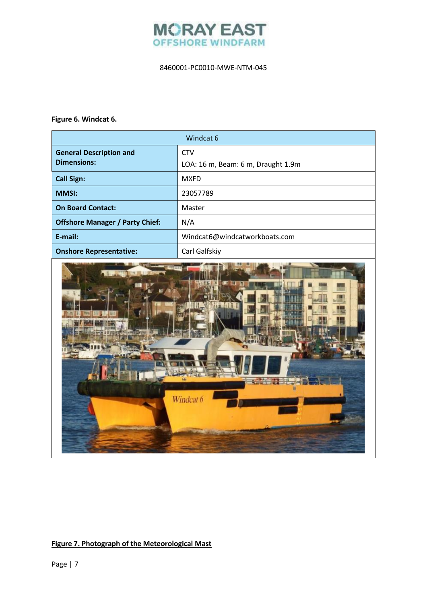

**Figure 6. Windcat 6.**

| Windcat 6                              |                                    |
|----------------------------------------|------------------------------------|
| <b>General Description and</b>         | <b>CTV</b>                         |
| <b>Dimensions:</b>                     | LOA: 16 m, Beam: 6 m, Draught 1.9m |
| <b>Call Sign:</b>                      | <b>MXFD</b>                        |
| <b>MMSI:</b>                           | 23057789                           |
| <b>On Board Contact:</b>               | Master                             |
| <b>Offshore Manager / Party Chief:</b> | N/A                                |
| E-mail:                                | Windcat6@windcatworkboats.com      |
| <b>Onshore Representative:</b>         | Carl Galfskiy                      |
|                                        |                                    |



# **Figure 7. Photograph of the Meteorological Mast**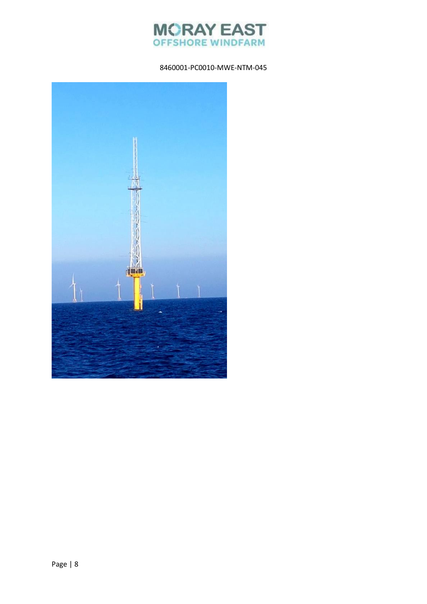

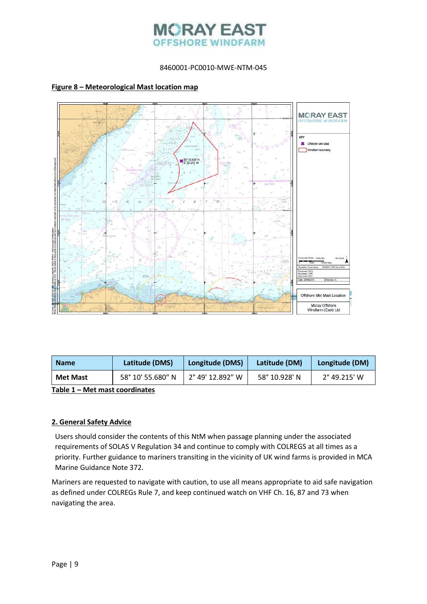# **MORAY EAS OFFSHORE WINDFARM**

#### 8460001-PC0010-MWE-NTM-045





| <b>Name</b>                   | Latitude (DMS)    | Longitude (DMS)  | Latitude (DM) | Longitude (DM)        |
|-------------------------------|-------------------|------------------|---------------|-----------------------|
| <b>Met Mast</b>               | 58° 10′ 55.680" N | 2° 49' 12.892" W | 58° 10.928' N | $2^{\circ}$ 49.215' W |
| Table 4 Material according to |                   |                  |               |                       |

**Table 1 – Met mast coordinates**

#### **2. General Safety Advice**

Users should consider the contents of this NtM when passage planning under the associated requirements of SOLAS V Regulation 34 and continue to comply with COLREGS at all times as a priority. Further guidance to mariners transiting in the vicinity of UK wind farms is provided in MCA Marine Guidance Note 372.

Mariners are requested to navigate with caution, to use all means appropriate to aid safe navigation as defined under COLREGs Rule 7, and keep continued watch on VHF Ch. 16, 87 and 73 when navigating the area.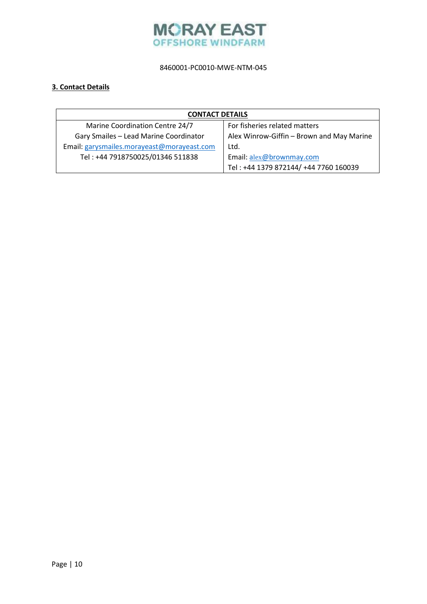

#### **3. Contact Details**

| <b>CONTACT DETAILS</b>                     |                                           |  |
|--------------------------------------------|-------------------------------------------|--|
| Marine Coordination Centre 24/7            | For fisheries related matters             |  |
| Gary Smailes - Lead Marine Coordinator     | Alex Winrow-Giffin - Brown and May Marine |  |
| Email: garysmailes.morayeast@morayeast.com | Ltd.                                      |  |
| Tel: +44 7918750025/01346 511838           | Email: alex@brownmay.com                  |  |
|                                            | Tel: +44 1379 872144/ +44 7760 160039     |  |